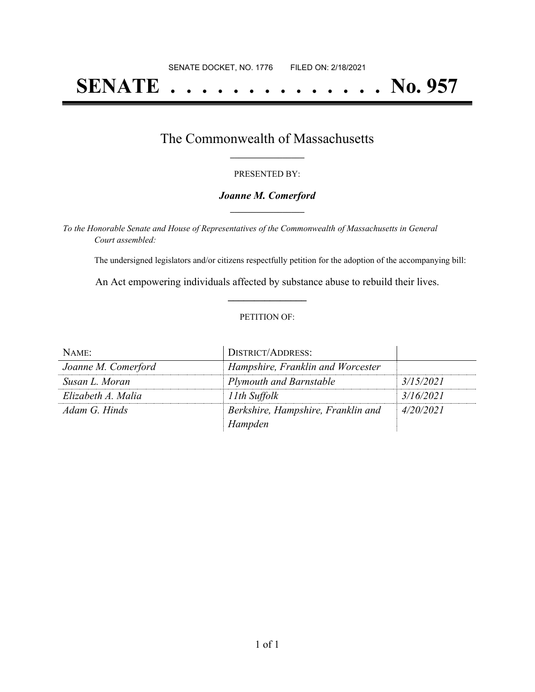# **SENATE . . . . . . . . . . . . . . No. 957**

### The Commonwealth of Massachusetts **\_\_\_\_\_\_\_\_\_\_\_\_\_\_\_\_\_**

#### PRESENTED BY:

#### *Joanne M. Comerford* **\_\_\_\_\_\_\_\_\_\_\_\_\_\_\_\_\_**

*To the Honorable Senate and House of Representatives of the Commonwealth of Massachusetts in General Court assembled:*

The undersigned legislators and/or citizens respectfully petition for the adoption of the accompanying bill:

An Act empowering individuals affected by substance abuse to rebuild their lives. **\_\_\_\_\_\_\_\_\_\_\_\_\_\_\_**

#### PETITION OF:

| NAME:               | <b>DISTRICT/ADDRESS:</b>           |           |
|---------------------|------------------------------------|-----------|
| Joanne M. Comerford | Hampshire, Franklin and Worcester  |           |
| Susan L. Moran      | <b>Plymouth and Barnstable</b>     | 3/15/2021 |
| Elizabeth A. Malia  | 11th Suffolk                       | 3/16/2021 |
| Adam G. Hinds       | Berkshire, Hampshire, Franklin and | 4/20/2021 |
|                     | Hampden                            |           |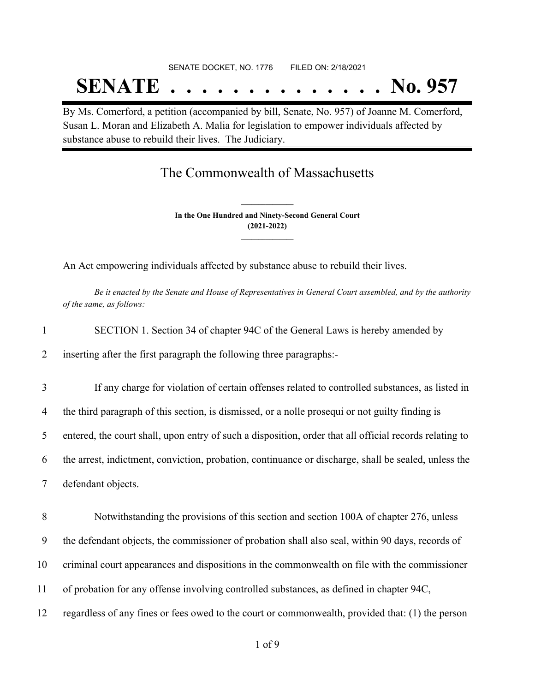# SENATE DOCKET, NO. 1776 FILED ON: 2/18/2021 **SENATE . . . . . . . . . . . . . . No. 957**

By Ms. Comerford, a petition (accompanied by bill, Senate, No. 957) of Joanne M. Comerford, Susan L. Moran and Elizabeth A. Malia for legislation to empower individuals affected by substance abuse to rebuild their lives. The Judiciary.

## The Commonwealth of Massachusetts

**In the One Hundred and Ninety-Second General Court (2021-2022) \_\_\_\_\_\_\_\_\_\_\_\_\_\_\_**

**\_\_\_\_\_\_\_\_\_\_\_\_\_\_\_**

An Act empowering individuals affected by substance abuse to rebuild their lives.

Be it enacted by the Senate and House of Representatives in General Court assembled, and by the authority *of the same, as follows:*

| SECTION 1. Section 34 of chapter 94C of the General Laws is hereby amended by |  |  |  |  |
|-------------------------------------------------------------------------------|--|--|--|--|
|                                                                               |  |  |  |  |

2 inserting after the first paragraph the following three paragraphs:-

 If any charge for violation of certain offenses related to controlled substances, as listed in the third paragraph of this section, is dismissed, or a nolle prosequi or not guilty finding is entered, the court shall, upon entry of such a disposition, order that all official records relating to the arrest, indictment, conviction, probation, continuance or discharge, shall be sealed, unless the defendant objects.

 Notwithstanding the provisions of this section and section 100A of chapter 276, unless the defendant objects, the commissioner of probation shall also seal, within 90 days, records of criminal court appearances and dispositions in the commonwealth on file with the commissioner of probation for any offense involving controlled substances, as defined in chapter 94C, regardless of any fines or fees owed to the court or commonwealth, provided that: (1) the person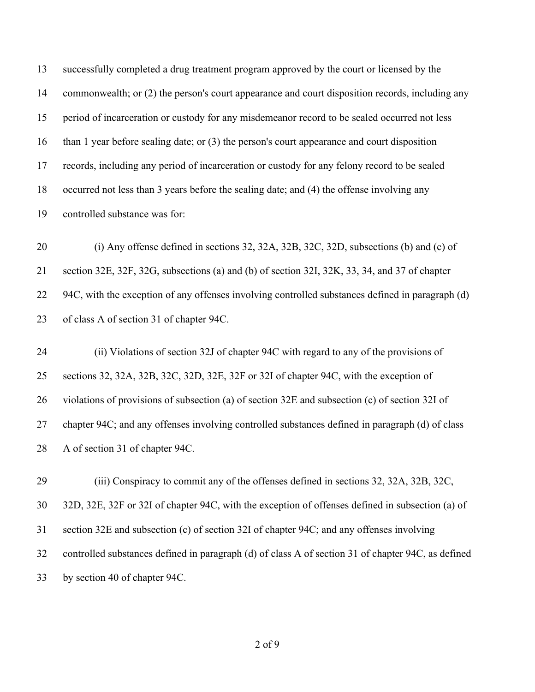successfully completed a drug treatment program approved by the court or licensed by the 14 commonwealth; or (2) the person's court appearance and court disposition records, including any period of incarceration or custody for any misdemeanor record to be sealed occurred not less than 1 year before sealing date; or (3) the person's court appearance and court disposition records, including any period of incarceration or custody for any felony record to be sealed occurred not less than 3 years before the sealing date; and (4) the offense involving any controlled substance was for:

 (i) Any offense defined in sections 32, 32A, 32B, 32C, 32D, subsections (b) and (c) of section 32E, 32F, 32G, subsections (a) and (b) of section 32I, 32K, 33, 34, and 37 of chapter 22 94C, with the exception of any offenses involving controlled substances defined in paragraph (d) of class A of section 31 of chapter 94C.

 (ii) Violations of section 32J of chapter 94C with regard to any of the provisions of sections 32, 32A, 32B, 32C, 32D, 32E, 32F or 32I of chapter 94C, with the exception of violations of provisions of subsection (a) of section 32E and subsection (c) of section 32I of chapter 94C; and any offenses involving controlled substances defined in paragraph (d) of class A of section 31 of chapter 94C.

 (iii) Conspiracy to commit any of the offenses defined in sections 32, 32A, 32B, 32C, 32D, 32E, 32F or 32I of chapter 94C, with the exception of offenses defined in subsection (a) of section 32E and subsection (c) of section 32I of chapter 94C; and any offenses involving controlled substances defined in paragraph (d) of class A of section 31 of chapter 94C, as defined by section 40 of chapter 94C.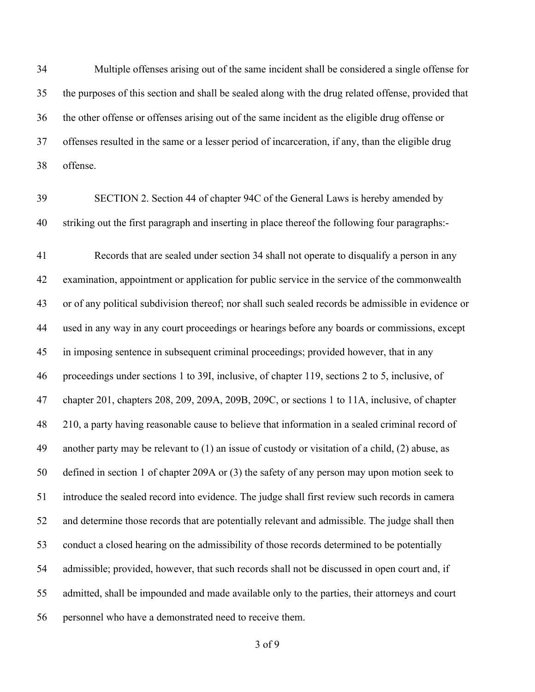Multiple offenses arising out of the same incident shall be considered a single offense for the purposes of this section and shall be sealed along with the drug related offense, provided that the other offense or offenses arising out of the same incident as the eligible drug offense or offenses resulted in the same or a lesser period of incarceration, if any, than the eligible drug offense.

 SECTION 2. Section 44 of chapter 94C of the General Laws is hereby amended by striking out the first paragraph and inserting in place thereof the following four paragraphs:-

 Records that are sealed under section 34 shall not operate to disqualify a person in any examination, appointment or application for public service in the service of the commonwealth or of any political subdivision thereof; nor shall such sealed records be admissible in evidence or used in any way in any court proceedings or hearings before any boards or commissions, except in imposing sentence in subsequent criminal proceedings; provided however, that in any proceedings under sections 1 to 39I, inclusive, of chapter 119, sections 2 to 5, inclusive, of chapter 201, chapters 208, 209, 209A, 209B, 209C, or sections 1 to 11A, inclusive, of chapter 210, a party having reasonable cause to believe that information in a sealed criminal record of another party may be relevant to (1) an issue of custody or visitation of a child, (2) abuse, as defined in section 1 of chapter 209A or (3) the safety of any person may upon motion seek to introduce the sealed record into evidence. The judge shall first review such records in camera and determine those records that are potentially relevant and admissible. The judge shall then conduct a closed hearing on the admissibility of those records determined to be potentially admissible; provided, however, that such records shall not be discussed in open court and, if admitted, shall be impounded and made available only to the parties, their attorneys and court personnel who have a demonstrated need to receive them.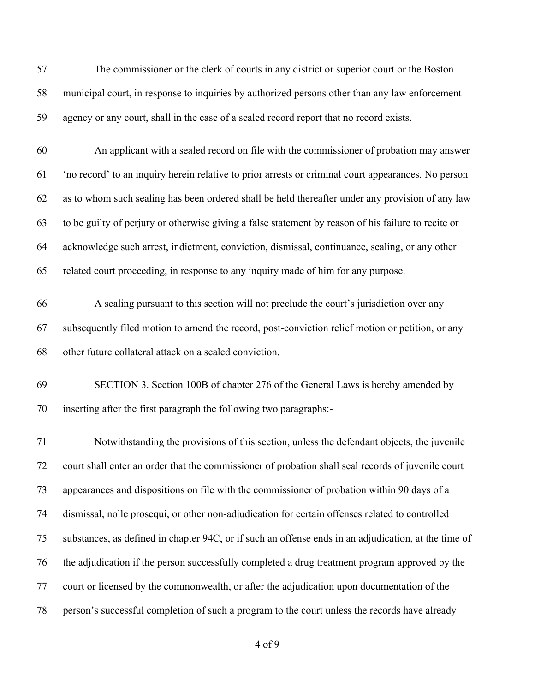| 57 | The commissioner or the clerk of courts in any district or superior court or the Boston             |
|----|-----------------------------------------------------------------------------------------------------|
| 58 | municipal court, in response to inquiries by authorized persons other than any law enforcement      |
| 59 | agency or any court, shall in the case of a sealed record report that no record exists.             |
| 60 | An applicant with a sealed record on file with the commissioner of probation may answer             |
| 61 | 'no record' to an inquiry herein relative to prior arrests or criminal court appearances. No person |

 to be guilty of perjury or otherwise giving a false statement by reason of his failure to recite or acknowledge such arrest, indictment, conviction, dismissal, continuance, sealing, or any other

as to whom such sealing has been ordered shall be held thereafter under any provision of any law

related court proceeding, in response to any inquiry made of him for any purpose.

 A sealing pursuant to this section will not preclude the court's jurisdiction over any subsequently filed motion to amend the record, post-conviction relief motion or petition, or any other future collateral attack on a sealed conviction.

 SECTION 3. Section 100B of chapter 276 of the General Laws is hereby amended by inserting after the first paragraph the following two paragraphs:-

 Notwithstanding the provisions of this section, unless the defendant objects, the juvenile court shall enter an order that the commissioner of probation shall seal records of juvenile court appearances and dispositions on file with the commissioner of probation within 90 days of a dismissal, nolle prosequi, or other non-adjudication for certain offenses related to controlled substances, as defined in chapter 94C, or if such an offense ends in an adjudication, at the time of the adjudication if the person successfully completed a drug treatment program approved by the court or licensed by the commonwealth, or after the adjudication upon documentation of the person's successful completion of such a program to the court unless the records have already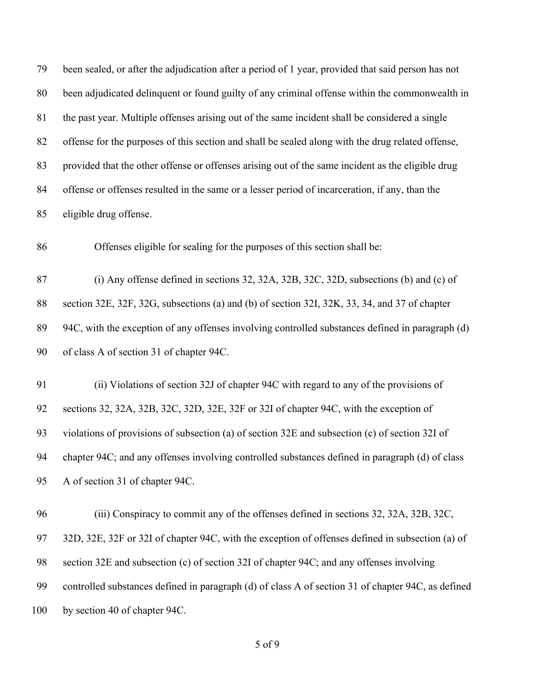been sealed, or after the adjudication after a period of 1 year, provided that said person has not been adjudicated delinquent or found guilty of any criminal offense within the commonwealth in the past year. Multiple offenses arising out of the same incident shall be considered a single offense for the purposes of this section and shall be sealed along with the drug related offense, provided that the other offense or offenses arising out of the same incident as the eligible drug offense or offenses resulted in the same or a lesser period of incarceration, if any, than the eligible drug offense.

Offenses eligible for sealing for the purposes of this section shall be:

 (i) Any offense defined in sections 32, 32A, 32B, 32C, 32D, subsections (b) and (c) of section 32E, 32F, 32G, subsections (a) and (b) of section 32I, 32K, 33, 34, and 37 of chapter 94C, with the exception of any offenses involving controlled substances defined in paragraph (d) of class A of section 31 of chapter 94C.

 (ii) Violations of section 32J of chapter 94C with regard to any of the provisions of sections 32, 32A, 32B, 32C, 32D, 32E, 32F or 32I of chapter 94C, with the exception of violations of provisions of subsection (a) of section 32E and subsection (c) of section 32I of chapter 94C; and any offenses involving controlled substances defined in paragraph (d) of class A of section 31 of chapter 94C.

 (iii) Conspiracy to commit any of the offenses defined in sections 32, 32A, 32B, 32C, 32D, 32E, 32F or 32I of chapter 94C, with the exception of offenses defined in subsection (a) of section 32E and subsection (c) of section 32I of chapter 94C; and any offenses involving controlled substances defined in paragraph (d) of class A of section 31 of chapter 94C, as defined 100 by section 40 of chapter 94C.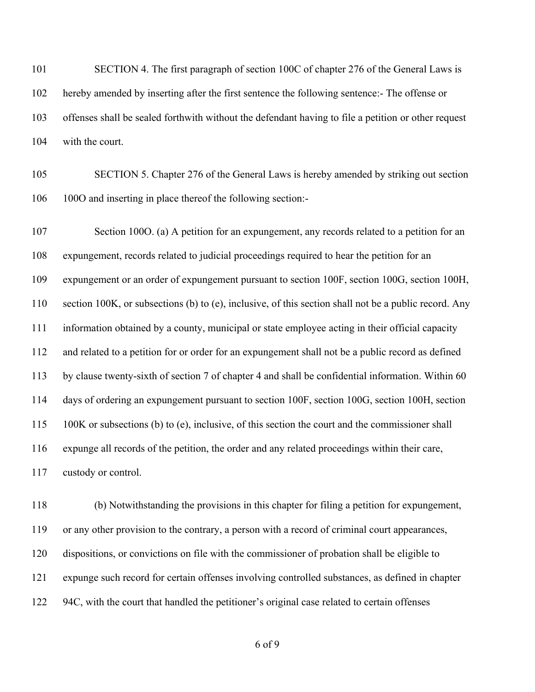101 SECTION 4. The first paragraph of section 100C of chapter 276 of the General Laws is hereby amended by inserting after the first sentence the following sentence:- The offense or offenses shall be sealed forthwith without the defendant having to file a petition or other request with the court.

 SECTION 5. Chapter 276 of the General Laws is hereby amended by striking out section 100O and inserting in place thereof the following section:-

 Section 100O. (a) A petition for an expungement, any records related to a petition for an expungement, records related to judicial proceedings required to hear the petition for an expungement or an order of expungement pursuant to section 100F, section 100G, section 100H, section 100K, or subsections (b) to (e), inclusive, of this section shall not be a public record. Any information obtained by a county, municipal or state employee acting in their official capacity and related to a petition for or order for an expungement shall not be a public record as defined by clause twenty-sixth of section 7 of chapter 4 and shall be confidential information. Within 60 days of ordering an expungement pursuant to section 100F, section 100G, section 100H, section 100K or subsections (b) to (e), inclusive, of this section the court and the commissioner shall expunge all records of the petition, the order and any related proceedings within their care, custody or control.

 (b) Notwithstanding the provisions in this chapter for filing a petition for expungement, or any other provision to the contrary, a person with a record of criminal court appearances, dispositions, or convictions on file with the commissioner of probation shall be eligible to expunge such record for certain offenses involving controlled substances, as defined in chapter 94C, with the court that handled the petitioner's original case related to certain offenses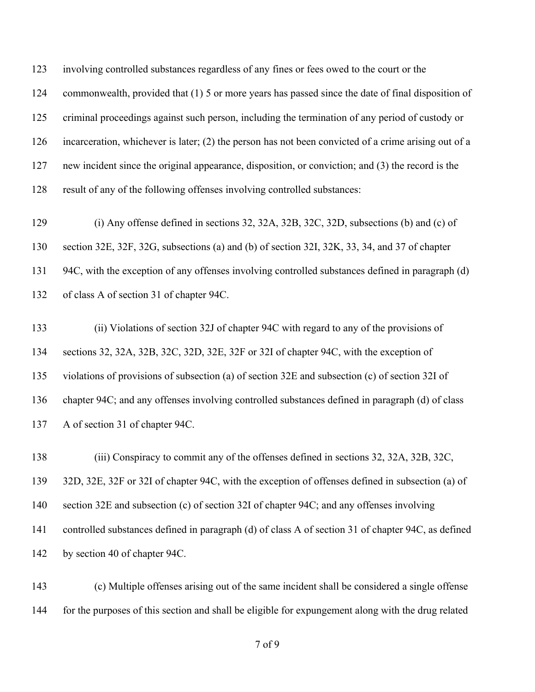involving controlled substances regardless of any fines or fees owed to the court or the commonwealth, provided that (1) 5 or more years has passed since the date of final disposition of criminal proceedings against such person, including the termination of any period of custody or incarceration, whichever is later; (2) the person has not been convicted of a crime arising out of a new incident since the original appearance, disposition, or conviction; and (3) the record is the result of any of the following offenses involving controlled substances:

 (i) Any offense defined in sections 32, 32A, 32B, 32C, 32D, subsections (b) and (c) of section 32E, 32F, 32G, subsections (a) and (b) of section 32I, 32K, 33, 34, and 37 of chapter 94C, with the exception of any offenses involving controlled substances defined in paragraph (d) of class A of section 31 of chapter 94C.

 (ii) Violations of section 32J of chapter 94C with regard to any of the provisions of sections 32, 32A, 32B, 32C, 32D, 32E, 32F or 32I of chapter 94C, with the exception of violations of provisions of subsection (a) of section 32E and subsection (c) of section 32I of chapter 94C; and any offenses involving controlled substances defined in paragraph (d) of class A of section 31 of chapter 94C.

 (iii) Conspiracy to commit any of the offenses defined in sections 32, 32A, 32B, 32C, 32D, 32E, 32F or 32I of chapter 94C, with the exception of offenses defined in subsection (a) of section 32E and subsection (c) of section 32I of chapter 94C; and any offenses involving controlled substances defined in paragraph (d) of class A of section 31 of chapter 94C, as defined by section 40 of chapter 94C.

 (c) Multiple offenses arising out of the same incident shall be considered a single offense for the purposes of this section and shall be eligible for expungement along with the drug related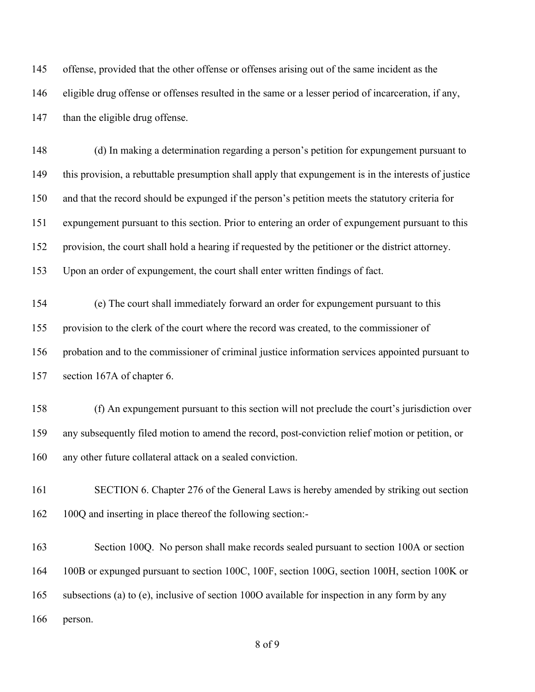offense, provided that the other offense or offenses arising out of the same incident as the eligible drug offense or offenses resulted in the same or a lesser period of incarceration, if any, 147 than the eligible drug offense.

 (d) In making a determination regarding a person's petition for expungement pursuant to this provision, a rebuttable presumption shall apply that expungement is in the interests of justice and that the record should be expunged if the person's petition meets the statutory criteria for expungement pursuant to this section. Prior to entering an order of expungement pursuant to this provision, the court shall hold a hearing if requested by the petitioner or the district attorney. Upon an order of expungement, the court shall enter written findings of fact.

 (e) The court shall immediately forward an order for expungement pursuant to this provision to the clerk of the court where the record was created, to the commissioner of probation and to the commissioner of criminal justice information services appointed pursuant to section 167A of chapter 6.

 (f) An expungement pursuant to this section will not preclude the court's jurisdiction over any subsequently filed motion to amend the record, post-conviction relief motion or petition, or any other future collateral attack on a sealed conviction.

 SECTION 6. Chapter 276 of the General Laws is hereby amended by striking out section 100Q and inserting in place thereof the following section:-

 Section 100Q. No person shall make records sealed pursuant to section 100A or section 100B or expunged pursuant to section 100C, 100F, section 100G, section 100H, section 100K or subsections (a) to (e), inclusive of section 100O available for inspection in any form by any person.